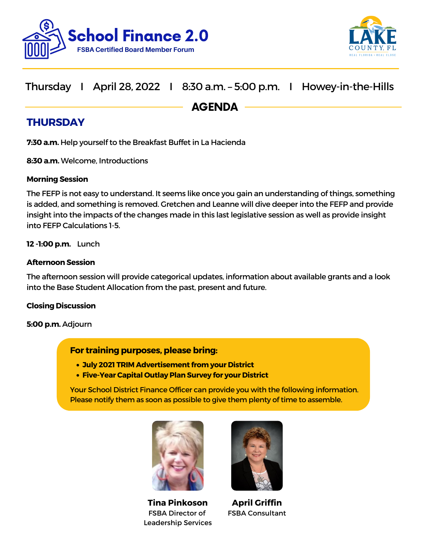



## Thursday I April 28, 2022 I 8:30 a.m. – 5:00 p.m. I Howey-in-the-Hills

AGENDA

## **THURSDAY**

**7:30 a.m.** Help yourself to the Breakfast Buffet in La Hacienda

**8:30 a.m.** Welcome, Introductions

### **Morning Session**

The FEFP is not easy to understand. It seems like once you gain an understanding of things, something is added, and something is removed. Gretchen and Leanne will dive deeper into the FEFP and provide insight into the impacts of the changes made in this last legislative session as well as provide insight into FEFP Calculations 1-5.

**12 -1:00 p.m.** Lunch

### **Afternoon Session**

The afternoon session will provide categorical updates, information about available grants and a look into the Base Student Allocation from the past, present and future.

### **Closing Discussion**

**5:00 p.m.** Adjourn

### **For training purposes, please bring:**

- **July 2021 TRIM Advertisement from your District**
- **Five-Year Capital Outlay Plan Survey for your District**

Your School District Finance Officer can provide you with the following information. Please notify them as soon as possible to give them plenty of time to assemble.



**Tina Pinkoson** FSBA Director of Leadership Services



**April Griffin** FSBA Consultant